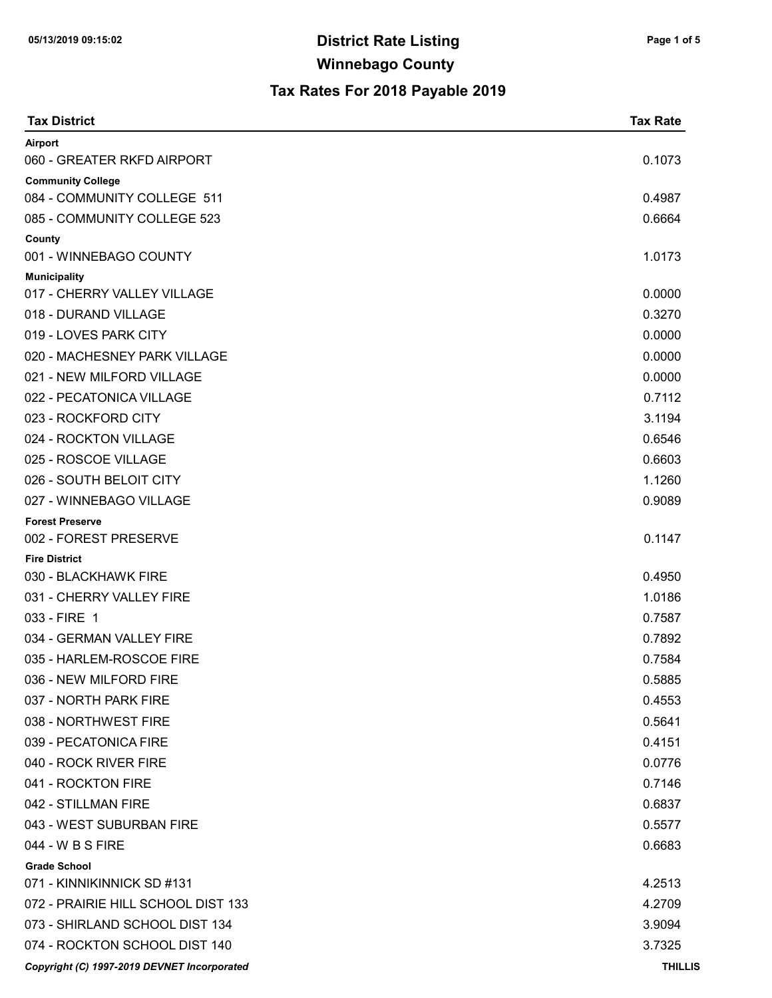| <b>Tax District</b>                         | <b>Tax Rate</b> |
|---------------------------------------------|-----------------|
| Airport                                     |                 |
| 060 - GREATER RKFD AIRPORT                  | 0.1073          |
| <b>Community College</b>                    |                 |
| 084 - COMMUNITY COLLEGE 511                 | 0.4987          |
| 085 - COMMUNITY COLLEGE 523                 | 0.6664          |
| County<br>001 - WINNEBAGO COUNTY            | 1.0173          |
| <b>Municipality</b>                         |                 |
| 017 - CHERRY VALLEY VILLAGE                 | 0.0000          |
| 018 - DURAND VILLAGE                        | 0.3270          |
| 019 - LOVES PARK CITY                       | 0.0000          |
| 020 - MACHESNEY PARK VILLAGE                | 0.0000          |
| 021 - NEW MILFORD VILLAGE                   | 0.0000          |
| 022 - PECATONICA VILLAGE                    | 0.7112          |
| 023 - ROCKFORD CITY                         | 3.1194          |
| 024 - ROCKTON VILLAGE                       | 0.6546          |
| 025 - ROSCOE VILLAGE                        | 0.6603          |
| 026 - SOUTH BELOIT CITY                     | 1.1260          |
| 027 - WINNEBAGO VILLAGE                     | 0.9089          |
| <b>Forest Preserve</b>                      |                 |
| 002 - FOREST PRESERVE                       | 0.1147          |
| <b>Fire District</b>                        |                 |
| 030 - BLACKHAWK FIRE                        | 0.4950          |
| 031 - CHERRY VALLEY FIRE                    | 1.0186          |
| 033 - FIRE 1                                | 0.7587          |
| 034 - GERMAN VALLEY FIRE                    | 0.7892          |
| 035 - HARLEM-ROSCOE FIRE                    | 0.7584          |
| 036 - NEW MILFORD FIRE                      | 0.5885          |
| 037 - NORTH PARK FIRE                       | 0.4553          |
| 038 - NORTHWEST FIRE                        | 0.5641          |
| 039 - PECATONICA FIRE                       | 0.4151          |
| 040 - ROCK RIVER FIRE                       | 0.0776          |
| 041 - ROCKTON FIRE                          | 0.7146          |
| 042 - STILLMAN FIRE                         | 0.6837          |
| 043 - WEST SUBURBAN FIRE                    | 0.5577          |
| 044 - W B S FIRE                            | 0.6683          |
| <b>Grade School</b>                         |                 |
| 071 - KINNIKINNICK SD #131                  | 4.2513          |
| 072 - PRAIRIE HILL SCHOOL DIST 133          | 4.2709          |
| 073 - SHIRLAND SCHOOL DIST 134              | 3.9094          |
| 074 - ROCKTON SCHOOL DIST 140               | 3.7325          |
| Copyright (C) 1997-2019 DEVNET Incorporated | <b>THILLIS</b>  |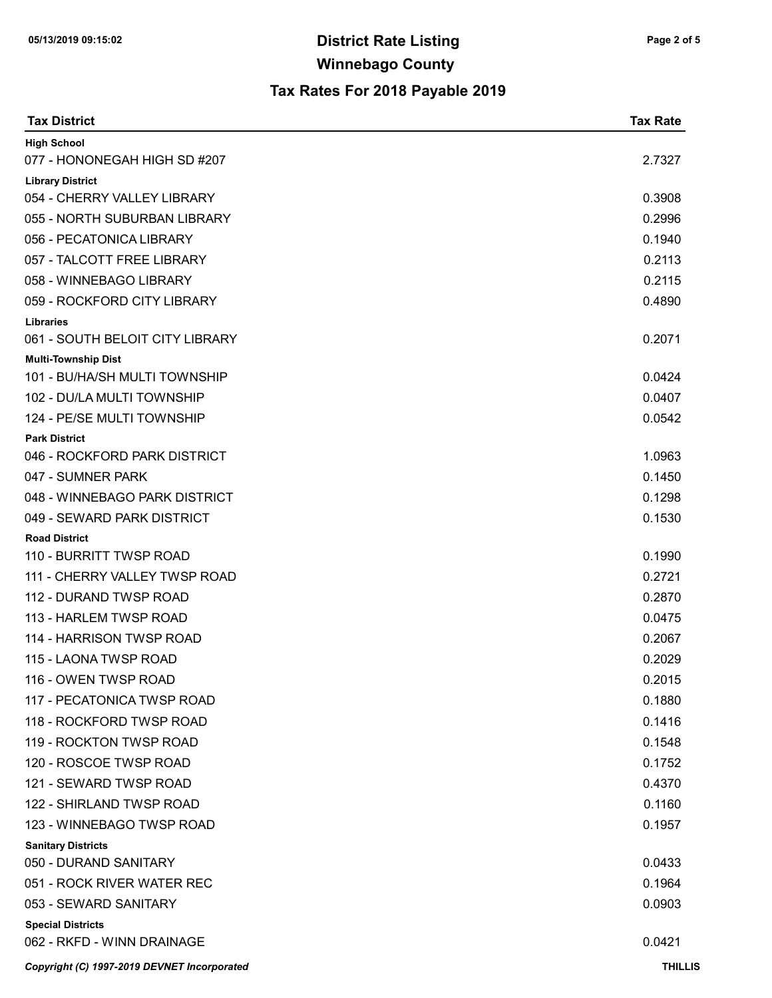| <b>Tax District</b>                                         | <b>Tax Rate</b> |
|-------------------------------------------------------------|-----------------|
| <b>High School</b>                                          |                 |
| 077 - HONONEGAH HIGH SD #207                                | 2.7327          |
| <b>Library District</b>                                     |                 |
| 054 - CHERRY VALLEY LIBRARY                                 | 0.3908          |
| 055 - NORTH SUBURBAN LIBRARY                                | 0.2996          |
| 056 - PECATONICA LIBRARY                                    | 0.1940          |
| 057 - TALCOTT FREE LIBRARY                                  | 0.2113          |
| 058 - WINNEBAGO LIBRARY                                     | 0.2115          |
| 059 - ROCKFORD CITY LIBRARY                                 | 0.4890          |
| <b>Libraries</b>                                            |                 |
| 061 - SOUTH BELOIT CITY LIBRARY                             | 0.2071          |
| <b>Multi-Township Dist</b><br>101 - BU/HA/SH MULTI TOWNSHIP | 0.0424          |
| 102 - DU/LA MULTI TOWNSHIP                                  | 0.0407          |
| 124 - PE/SE MULTI TOWNSHIP                                  | 0.0542          |
| <b>Park District</b>                                        |                 |
| 046 - ROCKFORD PARK DISTRICT                                | 1.0963          |
| 047 - SUMNER PARK                                           | 0.1450          |
| 048 - WINNEBAGO PARK DISTRICT                               | 0.1298          |
| 049 - SEWARD PARK DISTRICT                                  | 0.1530          |
| <b>Road District</b>                                        |                 |
| 110 - BURRITT TWSP ROAD                                     | 0.1990          |
| 111 - CHERRY VALLEY TWSP ROAD                               | 0.2721          |
| 112 - DURAND TWSP ROAD                                      | 0.2870          |
| 113 - HARLEM TWSP ROAD                                      | 0.0475          |
| 114 - HARRISON TWSP ROAD                                    | 0.2067          |
| 115 - LAONA TWSP ROAD                                       | 0.2029          |
| 116 - OWEN TWSP ROAD                                        | 0.2015          |
| 117 - PECATONICA TWSP ROAD                                  | 0.1880          |
| 118 - ROCKFORD TWSP ROAD                                    | 0.1416          |
| 119 - ROCKTON TWSP ROAD                                     | 0.1548          |
| 120 - ROSCOE TWSP ROAD                                      | 0.1752          |
| 121 - SEWARD TWSP ROAD                                      | 0.4370          |
| 122 - SHIRLAND TWSP ROAD                                    | 0.1160          |
| 123 - WINNEBAGO TWSP ROAD                                   | 0.1957          |
| <b>Sanitary Districts</b>                                   |                 |
| 050 - DURAND SANITARY                                       | 0.0433          |
| 051 - ROCK RIVER WATER REC                                  | 0.1964          |
| 053 - SEWARD SANITARY                                       | 0.0903          |
| <b>Special Districts</b>                                    |                 |
| 062 - RKFD - WINN DRAINAGE                                  | 0.0421          |
| Copyright (C) 1997-2019 DEVNET Incorporated                 | <b>THILLIS</b>  |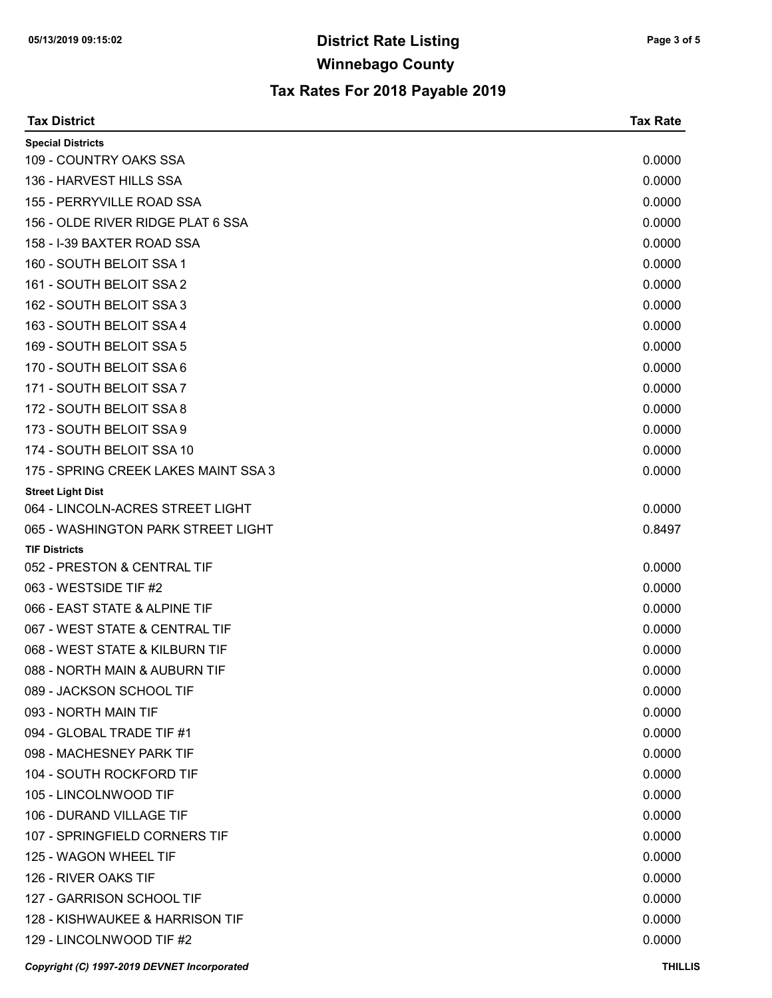| <b>Tax District</b>                         | <b>Tax Rate</b> |
|---------------------------------------------|-----------------|
| <b>Special Districts</b>                    |                 |
| 109 - COUNTRY OAKS SSA                      | 0.0000          |
| 136 - HARVEST HILLS SSA                     | 0.0000          |
| 155 - PERRYVILLE ROAD SSA                   | 0.0000          |
| 156 - OLDE RIVER RIDGE PLAT 6 SSA           | 0.0000          |
| 158 - I-39 BAXTER ROAD SSA                  | 0.0000          |
| 160 - SOUTH BELOIT SSA 1                    | 0.0000          |
| 161 - SOUTH BELOIT SSA 2                    | 0.0000          |
| 162 - SOUTH BELOIT SSA 3                    | 0.0000          |
| 163 - SOUTH BELOIT SSA 4                    | 0.0000          |
| 169 - SOUTH BELOIT SSA 5                    | 0.0000          |
| 170 - SOUTH BELOIT SSA 6                    | 0.0000          |
| 171 - SOUTH BELOIT SSA 7                    | 0.0000          |
| 172 - SOUTH BELOIT SSA 8                    | 0.0000          |
| 173 - SOUTH BELOIT SSA 9                    | 0.0000          |
| 174 - SOUTH BELOIT SSA 10                   | 0.0000          |
| 175 - SPRING CREEK LAKES MAINT SSA 3        | 0.0000          |
| <b>Street Light Dist</b>                    |                 |
| 064 - LINCOLN-ACRES STREET LIGHT            | 0.0000          |
| 065 - WASHINGTON PARK STREET LIGHT          | 0.8497          |
| <b>TIF Districts</b>                        |                 |
| 052 - PRESTON & CENTRAL TIF                 | 0.0000          |
| 063 - WESTSIDE TIF #2                       | 0.0000          |
| 066 - EAST STATE & ALPINE TIF               | 0.0000          |
| 067 - WEST STATE & CENTRAL TIF              | 0.0000          |
| 068 - WEST STATE & KILBURN TIF              | 0.0000          |
| 088 - NORTH MAIN & AUBURN TIF               | 0.0000          |
| 089 - JACKSON SCHOOL TIF                    | 0.0000          |
| 093 - NORTH MAIN TIF                        | 0.0000          |
| 094 - GLOBAL TRADE TIF #1                   | 0.0000          |
| 098 - MACHESNEY PARK TIF                    | 0.0000          |
| 104 - SOUTH ROCKFORD TIF                    | 0.0000          |
| 105 - LINCOLNWOOD TIF                       | 0.0000          |
| 106 - DURAND VILLAGE TIF                    | 0.0000          |
| 107 - SPRINGFIELD CORNERS TIF               | 0.0000          |
| 125 - WAGON WHEEL TIF                       | 0.0000          |
| 126 - RIVER OAKS TIF                        | 0.0000          |
| 127 - GARRISON SCHOOL TIF                   | 0.0000          |
| 128 - KISHWAUKEE & HARRISON TIF             | 0.0000          |
| 129 - LINCOLNWOOD TIF #2                    | 0.0000          |
| Copyright (C) 1997-2019 DEVNET Incorporated | <b>THILLIS</b>  |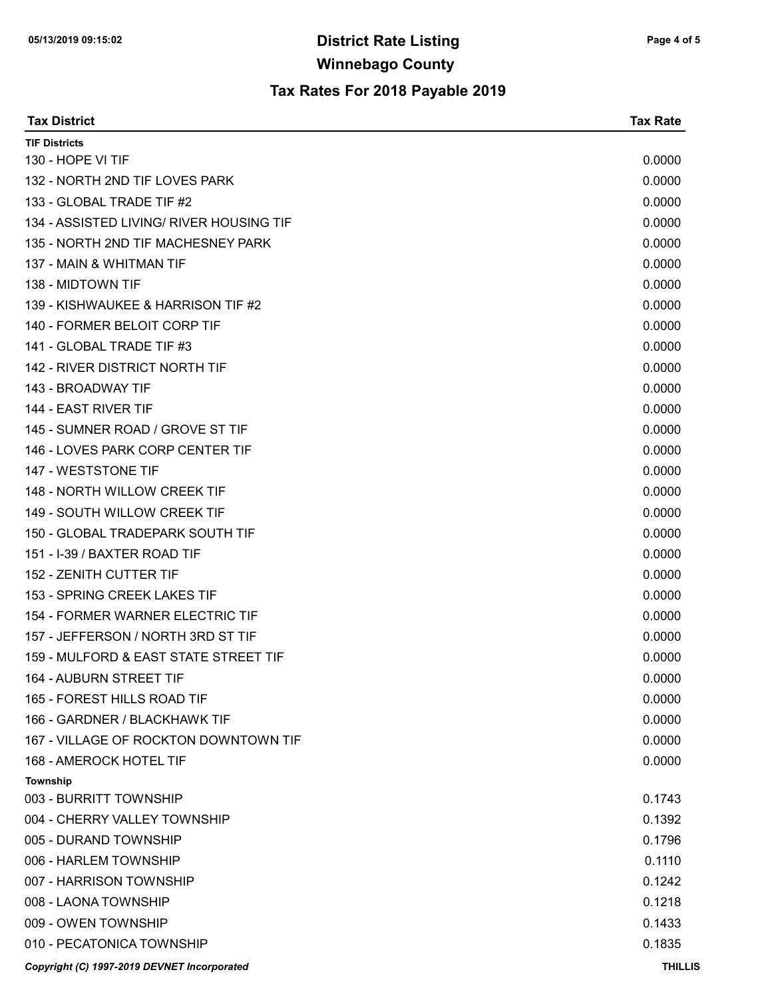| <b>Tax District</b>                         | <b>Tax Rate</b> |
|---------------------------------------------|-----------------|
| <b>TIF Districts</b>                        |                 |
| 130 - HOPE VI TIF                           | 0.0000          |
| 132 - NORTH 2ND TIF LOVES PARK              | 0.0000          |
| 133 - GLOBAL TRADE TIF #2                   | 0.0000          |
| 134 - ASSISTED LIVING/ RIVER HOUSING TIF    | 0.0000          |
| 135 - NORTH 2ND TIF MACHESNEY PARK          | 0.0000          |
| 137 - MAIN & WHITMAN TIF                    | 0.0000          |
| 138 - MIDTOWN TIF                           | 0.0000          |
| 139 - KISHWAUKEE & HARRISON TIF #2          | 0.0000          |
| 140 - FORMER BELOIT CORP TIF                | 0.0000          |
| 141 - GLOBAL TRADE TIF #3                   | 0.0000          |
| 142 - RIVER DISTRICT NORTH TIF              | 0.0000          |
| 143 - BROADWAY TIF                          | 0.0000          |
| 144 - EAST RIVER TIF                        | 0.0000          |
| 145 - SUMNER ROAD / GROVE ST TIF            | 0.0000          |
| 146 - LOVES PARK CORP CENTER TIF            | 0.0000          |
| 147 - WESTSTONE TIF                         | 0.0000          |
| 148 - NORTH WILLOW CREEK TIF                | 0.0000          |
| 149 - SOUTH WILLOW CREEK TIF                | 0.0000          |
| 150 - GLOBAL TRADEPARK SOUTH TIF            | 0.0000          |
| 151 - I-39 / BAXTER ROAD TIF                | 0.0000          |
| 152 - ZENITH CUTTER TIF                     | 0.0000          |
| 153 - SPRING CREEK LAKES TIF                | 0.0000          |
| 154 - FORMER WARNER ELECTRIC TIF            | 0.0000          |
| 157 - JEFFERSON / NORTH 3RD ST TIF          | 0.0000          |
| 159 - MULFORD & EAST STATE STREET TIF       | 0.0000          |
| 164 - AUBURN STREET TIF                     | 0.0000          |
| 165 - FOREST HILLS ROAD TIF                 | 0.0000          |
| 166 - GARDNER / BLACKHAWK TIF               | 0.0000          |
| 167 - VILLAGE OF ROCKTON DOWNTOWN TIF       | 0.0000          |
| <b>168 - AMEROCK HOTEL TIF</b>              | 0.0000          |
| Township                                    |                 |
| 003 - BURRITT TOWNSHIP                      | 0.1743          |
| 004 - CHERRY VALLEY TOWNSHIP                | 0.1392          |
| 005 - DURAND TOWNSHIP                       | 0.1796          |
| 006 - HARLEM TOWNSHIP                       | 0.1110          |
| 007 - HARRISON TOWNSHIP                     | 0.1242          |
| 008 - LAONA TOWNSHIP                        | 0.1218          |
| 009 - OWEN TOWNSHIP                         | 0.1433          |
| 010 - PECATONICA TOWNSHIP                   | 0.1835          |
| Copyright (C) 1997-2019 DEVNET Incorporated | <b>THILLIS</b>  |